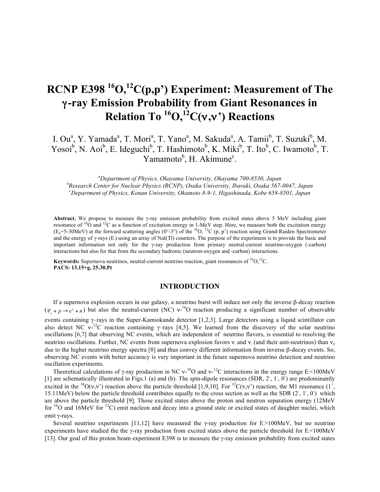# **RCNP E398 16O,12C(p,p') Experiment: Measurement of The**  γ**-ray Emission Probability from Giant Resonances in Relation To 16O,12C(**ν**,**ν**') Reactions**

I. Ou<sup>a</sup>, Y. Yamada<sup>a</sup>, T. Mori<sup>a</sup>, T. Yano<sup>a</sup>, M. Sakuda<sup>a</sup>, A. Tamii<sup>b</sup>, T. Suzuki<sup>b</sup>, M. Yosoi<sup>b</sup>, N. Aoi<sup>b</sup>, E. Ideguchi<sup>b</sup>, T. Hashimoto<sup>b</sup>, K. Miki<sup>b</sup>, T. Ito<sup>b</sup>, C. Iwamoto<sup>b</sup>, T. Yamamoto<sup>b</sup>, H. Akimune<sup>c</sup>.

*a Department of Physics, Okayama University, Okayama 700-8530, Japan b Research Center for Nuclear Physics (RCNP), Osaka University, Ibaraki, Osaka 567-0047, Japan <sup>c</sup> Department of Physics, Konan University, Okamoto 8-9-1, Higashinada, Kobe 658-8501, Japan*

**Abstract.** We propose to measure the  $\gamma$ -ray emission probability from excited states above 5 MeV including giant resonance of  $16$ O and  $12$ C as a function of excitation energy in 1-MeV step. Here, we measure both the excitation energy (E<sub>x</sub>=5-30MeV) at the forward scattering angles (0°-3°) of the <sup>16</sup>O, <sup>12</sup>C (p, p') reaction using Grand-Raiden Spectrometer and the energy of  $\gamma$ -rays (E<sub>i</sub>) using an array of NaI(Tl) counters. The purpose of the experiment is to provide the basic and important information not only for the γ-ray production from primary neutral-current neutrino-oxygen (-carbon) interactions but also for that from the secondary hadronic (neutron-oxygen and -carbon) interactions.

Keywords: Supernova neutrinos, neutral-current neutrino reaction, giant resonances of <sup>16</sup>O,<sup>12</sup>C. **PACS: 13.15+g, 25.30.Pt**

### **INTRODUCTION**

If a supernova explosion occurs in our galaxy, a neutrino burst will induce not only the inverse β-decay reaction  $(\bar{v}_e + p \rightarrow e^+ + n)$  but also the neutral-current (NC) v-<sup>16</sup>O reaction producing a significant number of observable events containing γ–rays in the Super-Kamiokande detector [1,2,3]. Large detectors using a liquid scintillator can also detect NC  $v^{-12}C$  reaction containing  $\gamma$ -rays [4,5]. We learned from the discovery of the solar neutrino oscillations [6,7] that observing NC events, which are independent of neutrino flavors, is essential to resolving the neutrino oscillations. Further, NC events from supernova explosion favors  $v_1$  and  $v_2$  (and their anti-neutrinos) than  $v_{\rm e}$ due to the higher neutrino energy spectra [8] and thus convey different information from inverse β-decay events. So, observing NC events with better accuracy is very important in the future supernova neutrino detection and neutrino oscillation experiments.

Theoretical calculations of  $\gamma$ -ray production in NC  $v$ -<sup>16</sup>O and  $v$ -<sup>12</sup>C interactions in the energy range E<100MeV [1] are schematically illustrated in Figs.1 (a) and (b). The spin-dipole resonances (SDR,  $2^7$ ,  $1^7$ ,  $0^7$ ) are predominantly excited in the <sup>16</sup>O(v,v') reaction above the particle threshold [1,9,10]. For <sup>12</sup>C(v,v') reaction, the M1 resonance (1<sup>+</sup>, 15.11MeV) below the particle threshold contributes equally to the cross section as well as the SDR  $(2, 1, 0)$  which are above the particle threshold [9]. Those excited states above the proton and neutron separation energy (12MeV for <sup>16</sup>O and 16MeV for <sup>12</sup>C) emit nucleon and decay into a ground state or excited states of daughter nuclei, which emit γ-rays.

Several neutrino experiments [11,12] have measured the  $\gamma$ -ray production for E>100MeV, but no neutrino experiments have studied the the  $\gamma$ -ray production from excited states above the particle threshold for E $\leq$ 100MeV [13]. Our goal of this proton beam experiment E398 is to measure the γ-ray emission probability from excited states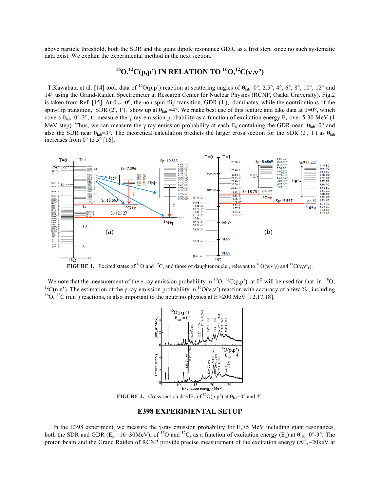above particle threshold, both the SDR and the giant dipole resonance GDR, as a first step, since no such systematic data exist. We explain the experimental method in the next section.

## **16O,12C(p,p') IN RELATION TO 16O,12C(**ν**,**ν**')**

T.Kawabata et al. [14] took data of <sup>16</sup>O(p,p') reaction at scattering angles of  $\theta_{lab}=0^\circ$ , 2.5°, 4°, 6°, 8°, 10°, 12° and 14° using the Grand-Raiden Spectrometer at Research Center for Nuclear Physics (RCNP, Osaka University). Fig.2 is taken from Ref. [15]. At  $\theta_{lab} = 0^\circ$ , the non-spin-flip transition, GDR (1), dominates, while the contributions of the spin-flip transition, SDR (2, 1), show up at  $\theta_{lab} = 4^\circ$ . We make best use of this feature and take data at  $\theta = 0^\circ$ , which covers  $θ_{lab} = 0°-3°$ , to measure the γ-ray emission probability as a function of excitation energy E<sub>x</sub> over 5-30 MeV (1) MeV step). Thus, we can measure the γ-ray emission probability at each  $E_x$  containing the GDR near  $\theta_{lab}=0^{\circ}$  and also the SDR near  $\theta_{lab} = 3^\circ$ . The theoretical calculation predicts the larger cross section for the SDR (2, 1) as  $\theta_{lab}$ increases from  $0^{\circ}$  to  $5^{\circ}$  [16].



**FIGURE 1.** Excited states of <sup>16</sup>O and <sup>12</sup>C, and those of daughter nuclei, relevant to <sup>16</sup>O(ν,ν'γ) and <sup>12</sup>C(ν,ν'γ).

We note that the measurement of the *γ*-ray emission probability in <sup>16</sup>O, <sup>12</sup>C(p,p') at 0<sup>°</sup> will be used for that in <sup>16</sup>O, <sup>12</sup>C(p, p'). The estimation of the *y*-ray emission probability in <sup>16</sup>O(*y,y*') reaction wit <sup>12</sup>C(n,n'). The estimation of the *γ*-ray emission probability in <sup>16</sup>O(*v*,*v*') reaction with accuracy of a few %, including <sup>16</sup>O, <sup>12</sup>C (n,n<sup>2</sup>) reactions, is also important to the neutrino physics at E>200 MeV [12,17,18].



**FIGURE 2.** Cross section  $d\sigma/dE_x$  of <sup>16</sup>O(p,p') at  $\theta_{lab} = 0^\circ$  and 4°.

#### **E398 EXPERIMENTAL SETUP**

In the E398 experiment, we measure the γ-ray emission probability for  $E_x > 5$  MeV including giant resonances, both the SDR and GDR ( $E_x = 16~30$ MeV), of <sup>16</sup>O and <sup>12</sup>C, as a function of excitation energy ( $E_x$ ) at  $\theta_{lab} = 0$ °-3°. The proton beam and the Grand Raiden of RCNP provide precise measurement of the excitation energy ( $\Delta E_{x} \sim 20 \text{keV}$  at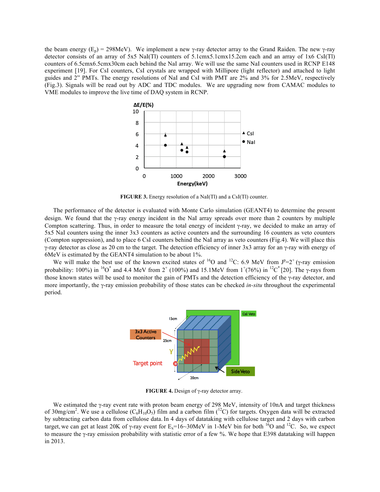the beam energy  $(E_p) = 298MeV$ ). We implement a new γ-ray detector array to the Grand Raiden. The new γ-ray detector consists of an array of 5x5 NaI(Tl) counters of 5.1cmx5.1cmx15.2cm each and an array of 1x6 CsI(Tl) counters of 6.5cmx6.5cmx30cm each behind the NaI array. We will use the same NaI counters used in RCNP E148 experiment [19]. For CsI counters, CsI crystals are wrapped with Millipore (light reflector) and attached to light guides and 2" PMTs. The energy resolutions of NaI and CsI with PMT are 2% and 3% for 2.5MeV, respectively (Fig.3). Signals will be read out by ADC and TDC modules. We are upgrading now from CAMAC modules to VME modules to improve the live time of DAQ system in RCNP.



**FIGURE 3.** Energy resolution of a NaI(Tl) and a CsI(Tl) counter.

The performance of the detector is evaluated with Monte Carlo simulation (GEANT4) to determine the present design. We found that the γ-ray energy incident in the NaI array spreads over more than 2 counters by multiple Compton scattering. Thus, in order to measure the total energy of incident γ-ray, we decided to make an array of 5x5 NaI counters using the inner 3x3 counters as active counters and the surrounding 16 counters as veto counters (Compton suppression), and to place 6 CsI counters behind the NaI array as veto counters (Fig.4). We will place this γ-ray detector as close as 20 cm to the target. The detection efficiency of inner 3x3 array for an γ-ray with energy of 6MeV is estimated by the GEANT4 simulation to be about 1%.

We will make the best use of the known excited states of  ${}^{16}O$  and  ${}^{12}C$ : 6.9 MeV from  $J^p=2^+(\gamma$ -ray emission probability: 100%) in <sup>16</sup>O<sup>\*</sup> and 4.4 MeV from 2<sup>+</sup> (100%) and 15.1MeV from 1<sup>+</sup>(76%) in <sup>12</sup>C<sup>\*</sup>[20]. The γ-rays from those known states will be used to monitor the gain of PMTs and the detection efficiency of the γ-ray detector, and more importantly, the γ-ray emission probability of those states can be checked *in-situ* throughout the experimental period.



**FIGURE 4.** Design of γ-ray detector array.

We estimated the γ-ray event rate with proton beam energy of 298 MeV, intensity of 10nA and target thickness of 30mg/cm<sup>2</sup>. We use a cellulose ( $C_6H_{10}O_5$ ) film and a carbon film (<sup>12</sup>C) for targets. Oxygen data will be extracted by subtracting carbon data from cellulose data. In 4 days of datataking with cellulose target and 2 days with carbon target, we can get at least 20K of γ-ray event for  $E_x=16~30MeV$  in 1-MeV bin for both  $16$ O and  $12$ C. So, we expect to measure the γ-ray emission probability with statistic error of a few %. We hope that E398 datataking will happen in 2013.